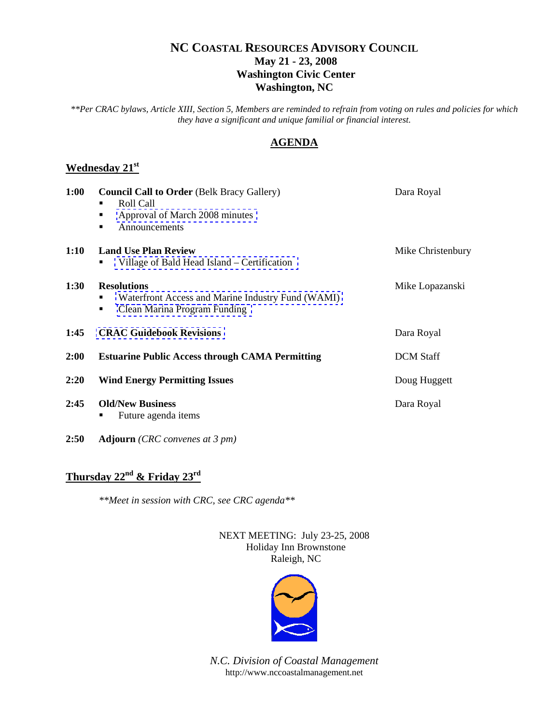# **NC COASTAL RESOURCES ADVISORY COUNCIL May 21 - 23, 2008 Washington Civic Center Washington, NC**

*\*\*Per CRAC bylaws, Article XIII, Section 5, Members are reminded to refrain from voting on rules and policies for which they have a significant and unique familial or financial interest*.

# **AGENDA**

# **Wednesday 21st**

| 1:00        | <b>Council Call to Order (Belk Bracy Gallery)</b><br>Roll Call<br>Approval of March 2008 minutes<br>■<br>Announcements<br>٠ | Dara Royal        |
|-------------|-----------------------------------------------------------------------------------------------------------------------------|-------------------|
| 1:10        | <b>Land Use Plan Review</b><br>Village of Bald Head Island – Certification                                                  | Mike Christenbury |
| <b>1:30</b> | <b>Resolutions</b><br>Waterfront Access and Marine Industry Fund (WAMI)<br>Clean Marina Program Funding<br>٠                | Mike Lopazanski   |
| 1:45        | <b>CRAC Guidebook Revisions</b>                                                                                             | Dara Royal        |
| 2:00        | <b>Estuarine Public Access through CAMA Permitting</b>                                                                      | <b>DCM</b> Staff  |
| 2:20        | <b>Wind Energy Permitting Issues</b>                                                                                        | Doug Huggett      |
| 2:45        | <b>Old/New Business</b><br>Future agenda items                                                                              | Dara Royal        |

**2:50 Adjourn** *(CRC convenes at 3 pm)*

# **Thursday 22nd & Friday 23rd**

*\*\*Meet in session with CRC, see CRC agenda\*\**

NEXT MEETING: July 23-25, 2008 Holiday Inn Brownstone Raleigh, NC



*N.C. Division of Coastal Management*  http://www.nccoastalmanagement.net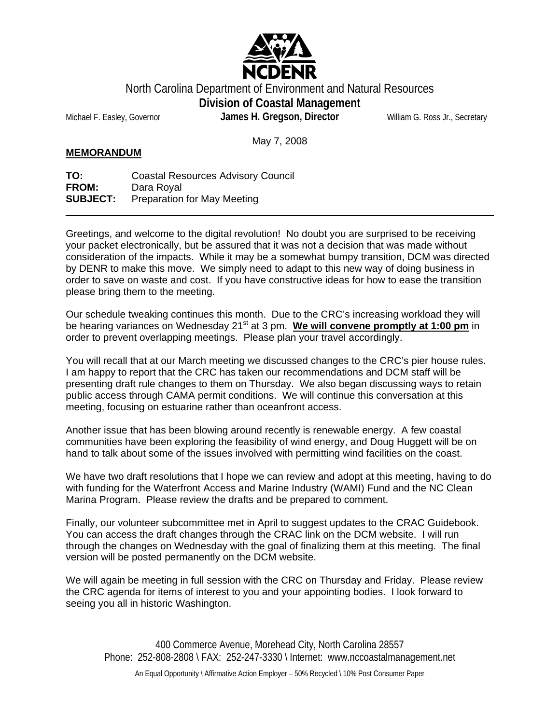

North Carolina Department of Environment and Natural Resources

**Division of Coastal Management** 

May 7, 2008

Michael F. Easley, Governor **James H. Gregson, Director** William G. Ross Jr., Secretary

**MEMORANDUM**

**TO:** Coastal Resources Advisory Council **FROM:** Dara Royal **SUBJECT:** Preparation for May Meeting

Greetings, and welcome to the digital revolution! No doubt you are surprised to be receiving your packet electronically, but be assured that it was not a decision that was made without consideration of the impacts. While it may be a somewhat bumpy transition, DCM was directed by DENR to make this move. We simply need to adapt to this new way of doing business in order to save on waste and cost. If you have constructive ideas for how to ease the transition please bring them to the meeting.

Our schedule tweaking continues this month. Due to the CRC's increasing workload they will be hearing variances on Wednesday 21<sup>st</sup> at 3 pm. We will convene promptly at 1:00 pm in order to prevent overlapping meetings. Please plan your travel accordingly.

You will recall that at our March meeting we discussed changes to the CRC's pier house rules. I am happy to report that the CRC has taken our recommendations and DCM staff will be presenting draft rule changes to them on Thursday. We also began discussing ways to retain public access through CAMA permit conditions. We will continue this conversation at this meeting, focusing on estuarine rather than oceanfront access.

Another issue that has been blowing around recently is renewable energy. A few coastal communities have been exploring the feasibility of wind energy, and Doug Huggett will be on hand to talk about some of the issues involved with permitting wind facilities on the coast.

We have two draft resolutions that I hope we can review and adopt at this meeting, having to do with funding for the Waterfront Access and Marine Industry (WAMI) Fund and the NC Clean Marina Program. Please review the drafts and be prepared to comment.

Finally, our volunteer subcommittee met in April to suggest updates to the CRAC Guidebook. You can access the draft changes through the CRAC link on the DCM website. I will run through the changes on Wednesday with the goal of finalizing them at this meeting. The final version will be posted permanently on the DCM website.

We will again be meeting in full session with the CRC on Thursday and Friday. Please review the CRC agenda for items of interest to you and your appointing bodies. I look forward to seeing you all in historic Washington.

400 Commerce Avenue, Morehead City, North Carolina 28557 Phone: 252-808-2808 \ FAX: 252-247-3330 \ Internet: www.nccoastalmanagement.net

An Equal Opportunity \ Affirmative Action Employer – 50% Recycled \ 10% Post Consumer Paper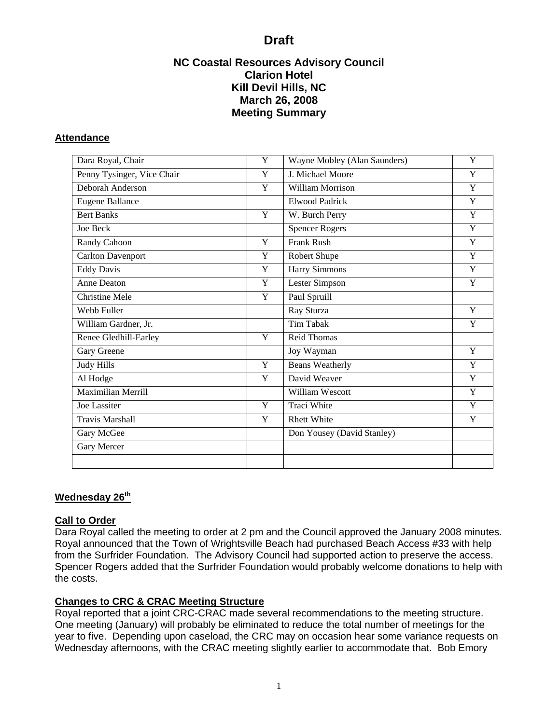# **NC Coastal Resources Advisory Council Clarion Hotel Kill Devil Hills, NC March 26, 2008 Meeting Summary**

## <span id="page-2-0"></span>**Attendance**

| Dara Royal, Chair          | Y | Wayne Mobley (Alan Saunders) | Y |
|----------------------------|---|------------------------------|---|
| Penny Tysinger, Vice Chair | Y | J. Michael Moore             | Y |
| Deborah Anderson           | Y | <b>William Morrison</b>      | Y |
| <b>Eugene Ballance</b>     |   | <b>Elwood Padrick</b>        | Y |
| <b>Bert Banks</b>          | Y | W. Burch Perry               | Y |
| Joe Beck                   |   | <b>Spencer Rogers</b>        | Y |
| Randy Cahoon               | Y | <b>Frank Rush</b>            | Y |
| <b>Carlton Davenport</b>   | Y | Robert Shupe                 | Y |
| <b>Eddy Davis</b>          | Y | Harry Simmons                | Y |
| Anne Deaton                | Y | Lester Simpson               | Y |
| <b>Christine Mele</b>      | Y | Paul Spruill                 |   |
| Webb Fuller                |   | Ray Sturza                   | Y |
| William Gardner, Jr.       |   | <b>Tim Tabak</b>             | Y |
| Renee Gledhill-Earley      | Y | <b>Reid Thomas</b>           |   |
| Gary Greene                |   | Joy Wayman                   | Y |
| <b>Judy Hills</b>          | Y | <b>Beans Weatherly</b>       | Y |
| Al Hodge                   | Y | David Weaver                 | Y |
| Maximilian Merrill         |   | William Wescott              | Y |
| <b>Joe Lassiter</b>        | Y | <b>Traci White</b>           | Y |
| <b>Travis Marshall</b>     | Y | <b>Rhett White</b>           | Y |
| Gary McGee                 |   | Don Yousey (David Stanley)   |   |
| Gary Mercer                |   |                              |   |
|                            |   |                              |   |

# **Wednesday 26th**

# **Call to Order**

Dara Royal called the meeting to order at 2 pm and the Council approved the January 2008 minutes. Royal announced that the Town of Wrightsville Beach had purchased Beach Access #33 with help from the Surfrider Foundation. The Advisory Council had supported action to preserve the access. Spencer Rogers added that the Surfrider Foundation would probably welcome donations to help with the costs.

# **Changes to CRC & CRAC Meeting Structure**

Royal reported that a joint CRC-CRAC made several recommendations to the meeting structure. One meeting (January) will probably be eliminated to reduce the total number of meetings for the year to five. Depending upon caseload, the CRC may on occasion hear some variance requests on Wednesday afternoons, with the CRAC meeting slightly earlier to accommodate that. Bob Emory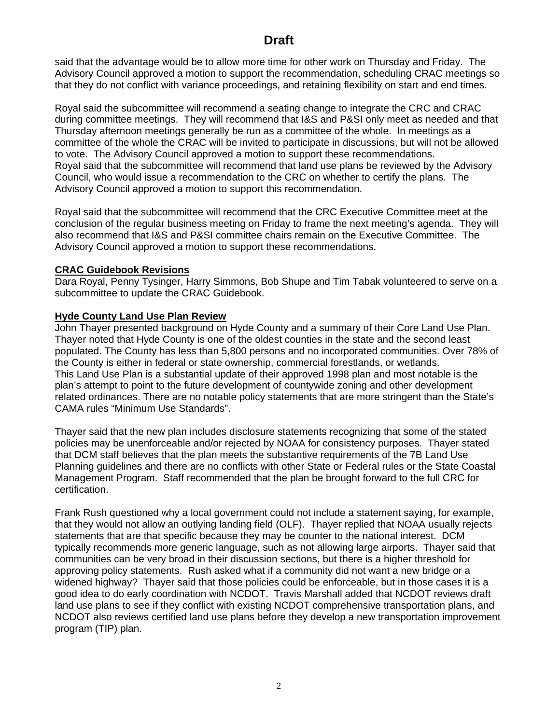said that the advantage would be to allow more time for other work on Thursday and Friday. The Advisory Council approved a motion to support the recommendation, scheduling CRAC meetings so that they do not conflict with variance proceedings, and retaining flexibility on start and end times.

Royal said the subcommittee will recommend a seating change to integrate the CRC and CRAC during committee meetings. They will recommend that I&S and P&SI only meet as needed and that Thursday afternoon meetings generally be run as a committee of the whole. In meetings as a committee of the whole the CRAC will be invited to participate in discussions, but will not be allowed to vote. The Advisory Council approved a motion to support these recommendations. Royal said that the subcommittee will recommend that land use plans be reviewed by the Advisory Council, who would issue a recommendation to the CRC on whether to certify the plans. The Advisory Council approved a motion to support this recommendation.

Royal said that the subcommittee will recommend that the CRC Executive Committee meet at the conclusion of the regular business meeting on Friday to frame the next meeting's agenda. They will also recommend that I&S and P&SI committee chairs remain on the Executive Committee. The Advisory Council approved a motion to support these recommendations.

## **CRAC Guidebook Revisions**

Dara Royal, Penny Tysinger, Harry Simmons, Bob Shupe and Tim Tabak volunteered to serve on a subcommittee to update the CRAC Guidebook.

## **Hyde County Land Use Plan Review**

John Thayer presented background on Hyde County and a summary of their Core Land Use Plan. Thayer noted that Hyde County is one of the oldest counties in the state and the second least populated. The County has less than 5,800 persons and no incorporated communities. Over 78% of the County is either in federal or state ownership, commercial forestlands, or wetlands. This Land Use Plan is a substantial update of their approved 1998 plan and most notable is the plan's attempt to point to the future development of countywide zoning and other development related ordinances. There are no notable policy statements that are more stringent than the State's CAMA rules "Minimum Use Standards".

Thayer said that the new plan includes disclosure statements recognizing that some of the stated policies may be unenforceable and/or rejected by NOAA for consistency purposes. Thayer stated that DCM staff believes that the plan meets the substantive requirements of the 7B Land Use Planning guidelines and there are no conflicts with other State or Federal rules or the State Coastal Management Program. Staff recommended that the plan be brought forward to the full CRC for certification.

Frank Rush questioned why a local government could not include a statement saying, for example, that they would not allow an outlying landing field (OLF). Thayer replied that NOAA usually rejects statements that are that specific because they may be counter to the national interest. DCM typically recommends more generic language, such as not allowing large airports. Thayer said that communities can be very broad in their discussion sections, but there is a higher threshold for approving policy statements. Rush asked what if a community did not want a new bridge or a widened highway? Thayer said that those policies could be enforceable, but in those cases it is a good idea to do early coordination with NCDOT. Travis Marshall added that NCDOT reviews draft land use plans to see if they conflict with existing NCDOT comprehensive transportation plans, and NCDOT also reviews certified land use plans before they develop a new transportation improvement program (TIP) plan.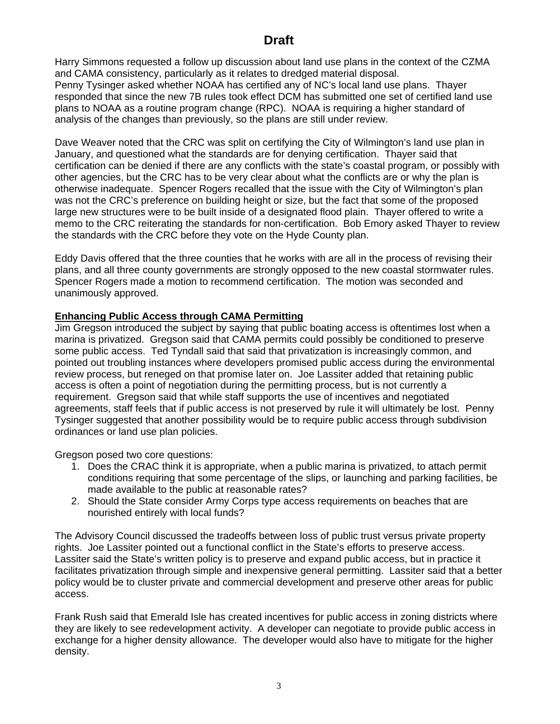Harry Simmons requested a follow up discussion about land use plans in the context of the CZMA and CAMA consistency, particularly as it relates to dredged material disposal. Penny Tysinger asked whether NOAA has certified any of NC's local land use plans. Thayer responded that since the new 7B rules took effect DCM has submitted one set of certified land use plans to NOAA as a routine program change (RPC). NOAA is requiring a higher standard of analysis of the changes than previously, so the plans are still under review.

Dave Weaver noted that the CRC was split on certifying the City of Wilmington's land use plan in January, and questioned what the standards are for denying certification. Thayer said that certification can be denied if there are any conflicts with the state's coastal program, or possibly with other agencies, but the CRC has to be very clear about what the conflicts are or why the plan is otherwise inadequate. Spencer Rogers recalled that the issue with the City of Wilmington's plan was not the CRC's preference on building height or size, but the fact that some of the proposed large new structures were to be built inside of a designated flood plain. Thayer offered to write a memo to the CRC reiterating the standards for non-certification. Bob Emory asked Thayer to review the standards with the CRC before they vote on the Hyde County plan.

Eddy Davis offered that the three counties that he works with are all in the process of revising their plans, and all three county governments are strongly opposed to the new coastal stormwater rules. Spencer Rogers made a motion to recommend certification. The motion was seconded and unanimously approved.

# **Enhancing Public Access through CAMA Permitting**

Jim Gregson introduced the subject by saying that public boating access is oftentimes lost when a marina is privatized. Gregson said that CAMA permits could possibly be conditioned to preserve some public access. Ted Tyndall said that said that privatization is increasingly common, and pointed out troubling instances where developers promised public access during the environmental review process, but reneged on that promise later on. Joe Lassiter added that retaining public access is often a point of negotiation during the permitting process, but is not currently a requirement. Gregson said that while staff supports the use of incentives and negotiated agreements, staff feels that if public access is not preserved by rule it will ultimately be lost. Penny Tysinger suggested that another possibility would be to require public access through subdivision ordinances or land use plan policies.

Gregson posed two core questions:

- 1. Does the CRAC think it is appropriate, when a public marina is privatized, to attach permit conditions requiring that some percentage of the slips, or launching and parking facilities, be made available to the public at reasonable rates?
- 2. Should the State consider Army Corps type access requirements on beaches that are nourished entirely with local funds?

The Advisory Council discussed the tradeoffs between loss of public trust versus private property rights. Joe Lassiter pointed out a functional conflict in the State's efforts to preserve access. Lassiter said the State's written policy is to preserve and expand public access, but in practice it facilitates privatization through simple and inexpensive general permitting. Lassiter said that a better policy would be to cluster private and commercial development and preserve other areas for public access.

Frank Rush said that Emerald Isle has created incentives for public access in zoning districts where they are likely to see redevelopment activity. A developer can negotiate to provide public access in exchange for a higher density allowance. The developer would also have to mitigate for the higher density.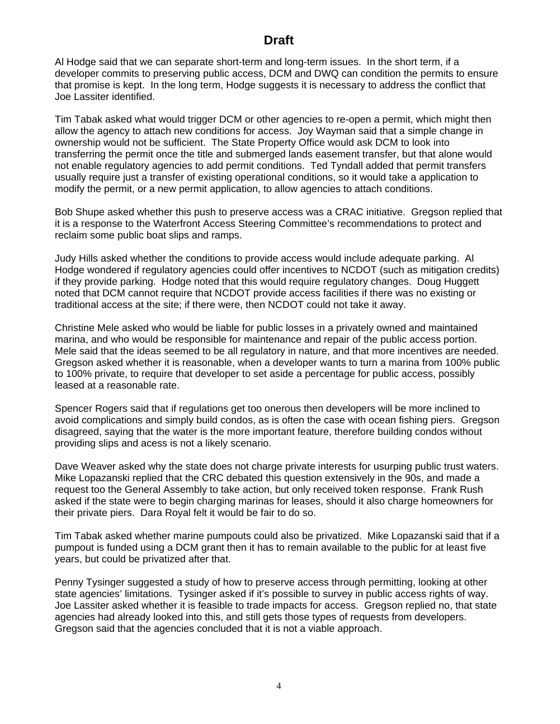Al Hodge said that we can separate short-term and long-term issues. In the short term, if a developer commits to preserving public access, DCM and DWQ can condition the permits to ensure that promise is kept. In the long term, Hodge suggests it is necessary to address the conflict that Joe Lassiter identified.

Tim Tabak asked what would trigger DCM or other agencies to re-open a permit, which might then allow the agency to attach new conditions for access. Joy Wayman said that a simple change in ownership would not be sufficient. The State Property Office would ask DCM to look into transferring the permit once the title and submerged lands easement transfer, but that alone would not enable regulatory agencies to add permit conditions. Ted Tyndall added that permit transfers usually require just a transfer of existing operational conditions, so it would take a application to modify the permit, or a new permit application, to allow agencies to attach conditions.

Bob Shupe asked whether this push to preserve access was a CRAC initiative. Gregson replied that it is a response to the Waterfront Access Steering Committee's recommendations to protect and reclaim some public boat slips and ramps.

Judy Hills asked whether the conditions to provide access would include adequate parking. Al Hodge wondered if regulatory agencies could offer incentives to NCDOT (such as mitigation credits) if they provide parking. Hodge noted that this would require regulatory changes. Doug Huggett noted that DCM cannot require that NCDOT provide access facilities if there was no existing or traditional access at the site; if there were, then NCDOT could not take it away.

Christine Mele asked who would be liable for public losses in a privately owned and maintained marina, and who would be responsible for maintenance and repair of the public access portion. Mele said that the ideas seemed to be all regulatory in nature, and that more incentives are needed. Gregson asked whether it is reasonable, when a developer wants to turn a marina from 100% public to 100% private, to require that developer to set aside a percentage for public access, possibly leased at a reasonable rate.

Spencer Rogers said that if regulations get too onerous then developers will be more inclined to avoid complications and simply build condos, as is often the case with ocean fishing piers. Gregson disagreed, saying that the water is the more important feature, therefore building condos without providing slips and acess is not a likely scenario.

Dave Weaver asked why the state does not charge private interests for usurping public trust waters. Mike Lopazanski replied that the CRC debated this question extensively in the 90s, and made a request too the General Assembly to take action, but only received token response. Frank Rush asked if the state were to begin charging marinas for leases, should it also charge homeowners for their private piers. Dara Royal felt it would be fair to do so.

Tim Tabak asked whether marine pumpouts could also be privatized. Mike Lopazanski said that if a pumpout is funded using a DCM grant then it has to remain available to the public for at least five years, but could be privatized after that.

Penny Tysinger suggested a study of how to preserve access through permitting, looking at other state agencies' limitations. Tysinger asked if it's possible to survey in public access rights of way. Joe Lassiter asked whether it is feasible to trade impacts for access. Gregson replied no, that state agencies had already looked into this, and still gets those types of requests from developers. Gregson said that the agencies concluded that it is not a viable approach.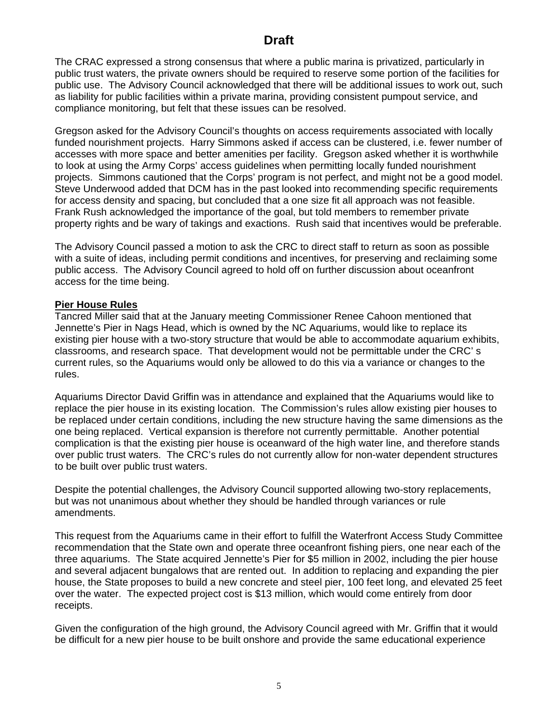The CRAC expressed a strong consensus that where a public marina is privatized, particularly in public trust waters, the private owners should be required to reserve some portion of the facilities for public use. The Advisory Council acknowledged that there will be additional issues to work out, such as liability for public facilities within a private marina, providing consistent pumpout service, and compliance monitoring, but felt that these issues can be resolved.

Gregson asked for the Advisory Council's thoughts on access requirements associated with locally funded nourishment projects. Harry Simmons asked if access can be clustered, i.e. fewer number of accesses with more space and better amenities per facility. Gregson asked whether it is worthwhile to look at using the Army Corps' access guidelines when permitting locally funded nourishment projects. Simmons cautioned that the Corps' program is not perfect, and might not be a good model. Steve Underwood added that DCM has in the past looked into recommending specific requirements for access density and spacing, but concluded that a one size fit all approach was not feasible. Frank Rush acknowledged the importance of the goal, but told members to remember private property rights and be wary of takings and exactions. Rush said that incentives would be preferable.

The Advisory Council passed a motion to ask the CRC to direct staff to return as soon as possible with a suite of ideas, including permit conditions and incentives, for preserving and reclaiming some public access. The Advisory Council agreed to hold off on further discussion about oceanfront access for the time being.

# **Pier House Rules**

Tancred Miller said that at the January meeting Commissioner Renee Cahoon mentioned that Jennette's Pier in Nags Head, which is owned by the NC Aquariums, would like to replace its existing pier house with a two-story structure that would be able to accommodate aquarium exhibits, classrooms, and research space. That development would not be permittable under the CRC' s current rules, so the Aquariums would only be allowed to do this via a variance or changes to the rules.

Aquariums Director David Griffin was in attendance and explained that the Aquariums would like to replace the pier house in its existing location. The Commission's rules allow existing pier houses to be replaced under certain conditions, including the new structure having the same dimensions as the one being replaced. Vertical expansion is therefore not currently permittable. Another potential complication is that the existing pier house is oceanward of the high water line, and therefore stands over public trust waters. The CRC's rules do not currently allow for non-water dependent structures to be built over public trust waters.

Despite the potential challenges, the Advisory Council supported allowing two-story replacements, but was not unanimous about whether they should be handled through variances or rule amendments.

This request from the Aquariums came in their effort to fulfill the Waterfront Access Study Committee recommendation that the State own and operate three oceanfront fishing piers, one near each of the three aquariums. The State acquired Jennette's Pier for \$5 million in 2002, including the pier house and several adjacent bungalows that are rented out. In addition to replacing and expanding the pier house, the State proposes to build a new concrete and steel pier, 100 feet long, and elevated 25 feet over the water. The expected project cost is \$13 million, which would come entirely from door receipts.

Given the configuration of the high ground, the Advisory Council agreed with Mr. Griffin that it would be difficult for a new pier house to be built onshore and provide the same educational experience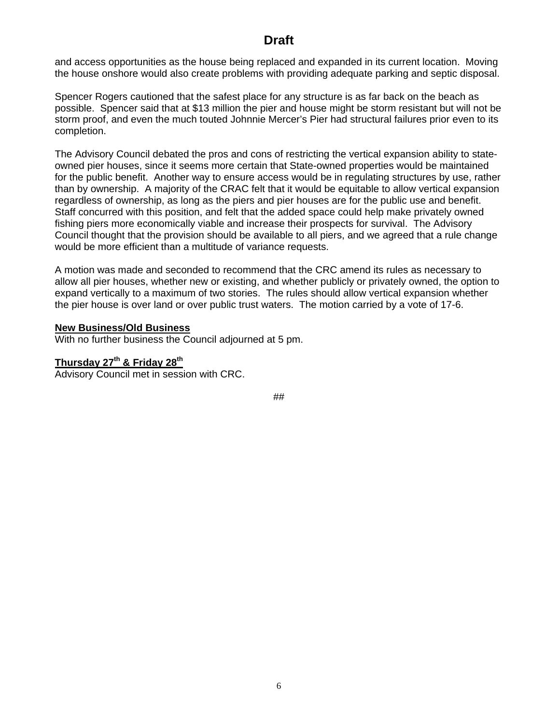and access opportunities as the house being replaced and expanded in its current location. Moving the house onshore would also create problems with providing adequate parking and septic disposal.

Spencer Rogers cautioned that the safest place for any structure is as far back on the beach as possible. Spencer said that at \$13 million the pier and house might be storm resistant but will not be storm proof, and even the much touted Johnnie Mercer's Pier had structural failures prior even to its completion.

The Advisory Council debated the pros and cons of restricting the vertical expansion ability to stateowned pier houses, since it seems more certain that State-owned properties would be maintained for the public benefit. Another way to ensure access would be in regulating structures by use, rather than by ownership. A majority of the CRAC felt that it would be equitable to allow vertical expansion regardless of ownership, as long as the piers and pier houses are for the public use and benefit. Staff concurred with this position, and felt that the added space could help make privately owned fishing piers more economically viable and increase their prospects for survival. The Advisory Council thought that the provision should be available to all piers, and we agreed that a rule change would be more efficient than a multitude of variance requests.

A motion was made and seconded to recommend that the CRC amend its rules as necessary to allow all pier houses, whether new or existing, and whether publicly or privately owned, the option to expand vertically to a maximum of two stories. The rules should allow vertical expansion whether the pier house is over land or over public trust waters. The motion carried by a vote of 17-6.

### **New Business/Old Business**

With no further business the Council adjourned at 5 pm.

# **Thursday 27th & Friday 28th**

Advisory Council met in session with CRC.

##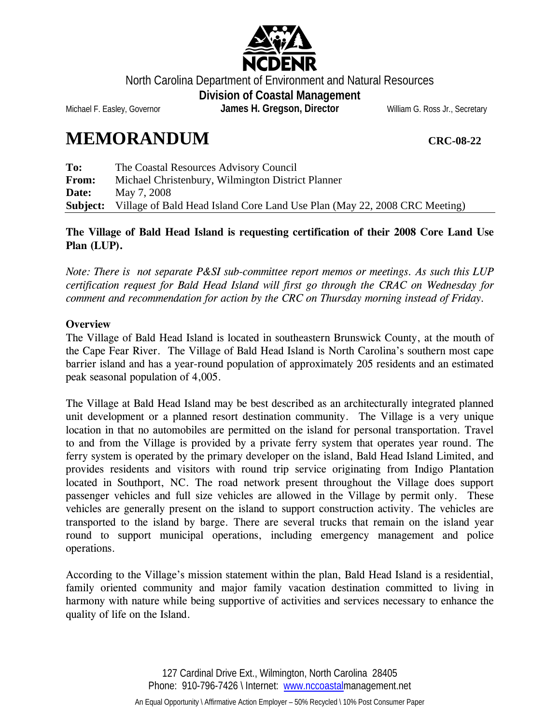

North Carolina Department of Environment and Natural Resources **Division of Coastal Management** 

<span id="page-8-0"></span>Michael F. Easley, Governor **James H. Gregson, Director** William G. Ross Jr., Secretary

# **MEMORANDUM CRC-08-22**

**To:** The Coastal Resources Advisory Council **From:** Michael Christenbury, Wilmington District Planner **Date:** May 7, 2008 **Subject:** Village of Bald Head Island Core Land Use Plan (May 22, 2008 CRC Meeting)

# **The Village of Bald Head Island is requesting certification of their 2008 Core Land Use Plan (LUP).**

*Note: There is not separate P&SI sub-committee report memos or meetings. As such this LUP certification request for Bald Head Island will first go through the CRAC on Wednesday for comment and recommendation for action by the CRC on Thursday morning instead of Friday.* 

# **Overview**

The Village of Bald Head Island is located in southeastern Brunswick County, at the mouth of the Cape Fear River. The Village of Bald Head Island is North Carolina's southern most cape barrier island and has a year-round population of approximately 205 residents and an estimated peak seasonal population of 4,005.

The Village at Bald Head Island may be best described as an architecturally integrated planned unit development or a planned resort destination community. The Village is a very unique location in that no automobiles are permitted on the island for personal transportation. Travel to and from the Village is provided by a private ferry system that operates year round. The ferry system is operated by the primary developer on the island, Bald Head Island Limited, and provides residents and visitors with round trip service originating from Indigo Plantation located in Southport, NC. The road network present throughout the Village does support passenger vehicles and full size vehicles are allowed in the Village by permit only. These vehicles are generally present on the island to support construction activity. The vehicles are transported to the island by barge. There are several trucks that remain on the island year round to support municipal operations, including emergency management and police operations.

According to the Village's mission statement within the plan, Bald Head Island is a residential, family oriented community and major family vacation destination committed to living in harmony with nature while being supportive of activities and services necessary to enhance the quality of life on the Island.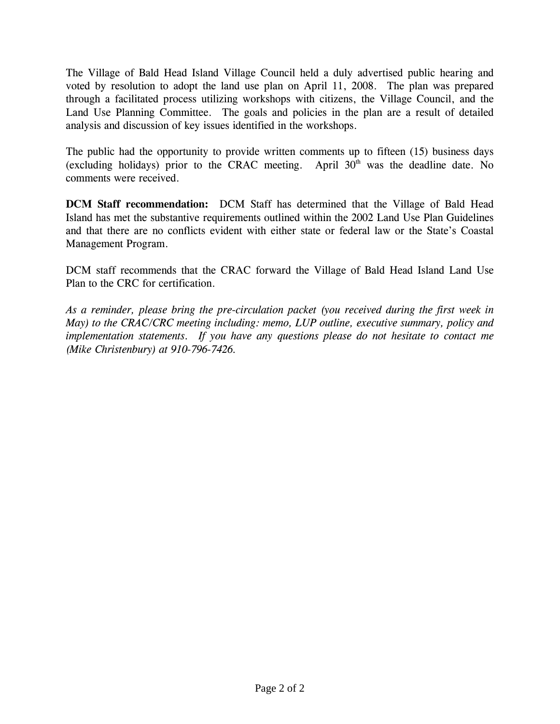The Village of Bald Head Island Village Council held a duly advertised public hearing and voted by resolution to adopt the land use plan on April 11, 2008. The plan was prepared through a facilitated process utilizing workshops with citizens, the Village Council, and the Land Use Planning Committee. The goals and policies in the plan are a result of detailed analysis and discussion of key issues identified in the workshops.

The public had the opportunity to provide written comments up to fifteen (15) business days (excluding holidays) prior to the CRAC meeting. April  $30<sup>th</sup>$  was the deadline date. No comments were received.

**DCM Staff recommendation:** DCM Staff has determined that the Village of Bald Head Island has met the substantive requirements outlined within the 2002 Land Use Plan Guidelines and that there are no conflicts evident with either state or federal law or the State's Coastal Management Program.

DCM staff recommends that the CRAC forward the Village of Bald Head Island Land Use Plan to the CRC for certification.

*As a reminder, please bring the pre-circulation packet (you received during the first week in May) to the CRAC/CRC meeting including: memo, LUP outline, executive summary, policy and implementation statements. If you have any questions please do not hesitate to contact me (Mike Christenbury) at 910-796-7426.*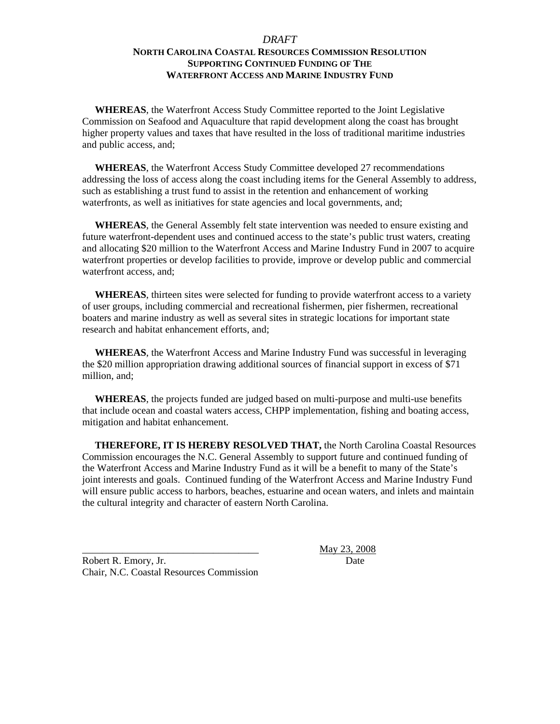## *DRAFT*  **NORTH CAROLINA COASTAL RESOURCES COMMISSION RESOLUTION SUPPORTING CONTINUED FUNDING OF THE WATERFRONT ACCESS AND MARINE INDUSTRY FUND**

<span id="page-10-0"></span> **WHEREAS**, the Waterfront Access Study Committee reported to the Joint Legislative Commission on Seafood and Aquaculture that rapid development along the coast has brought higher property values and taxes that have resulted in the loss of traditional maritime industries and public access, and;

 **WHEREAS**, the Waterfront Access Study Committee developed 27 recommendations addressing the loss of access along the coast including items for the General Assembly to address, such as establishing a trust fund to assist in the retention and enhancement of working waterfronts, as well as initiatives for state agencies and local governments, and:

 **WHEREAS**, the General Assembly felt state intervention was needed to ensure existing and future waterfront-dependent uses and continued access to the state's public trust waters, creating and allocating \$20 million to the Waterfront Access and Marine Industry Fund in 2007 to acquire waterfront properties or develop facilities to provide, improve or develop public and commercial waterfront access, and;

 **WHEREAS**, thirteen sites were selected for funding to provide waterfront access to a variety of user groups, including commercial and recreational fishermen, pier fishermen, recreational boaters and marine industry as well as several sites in strategic locations for important state research and habitat enhancement efforts, and;

 **WHEREAS**, the Waterfront Access and Marine Industry Fund was successful in leveraging the \$20 million appropriation drawing additional sources of financial support in excess of \$71 million, and;

 **WHEREAS**, the projects funded are judged based on multi-purpose and multi-use benefits that include ocean and coastal waters access, CHPP implementation, fishing and boating access, mitigation and habitat enhancement.

 **THEREFORE, IT IS HEREBY RESOLVED THAT,** the North Carolina Coastal Resources Commission encourages the N.C. General Assembly to support future and continued funding of the Waterfront Access and Marine Industry Fund as it will be a benefit to many of the State's joint interests and goals. Continued funding of the Waterfront Access and Marine Industry Fund will ensure public access to harbors, beaches, estuarine and ocean waters, and inlets and maintain the cultural integrity and character of eastern North Carolina.

Robert R. Emory, Jr. Date Chair, N.C. Coastal Resources Commission

\_\_\_\_\_\_\_\_\_\_\_\_\_\_\_\_\_\_\_\_\_\_\_\_\_\_\_\_\_\_\_\_\_\_\_ May 23, 2008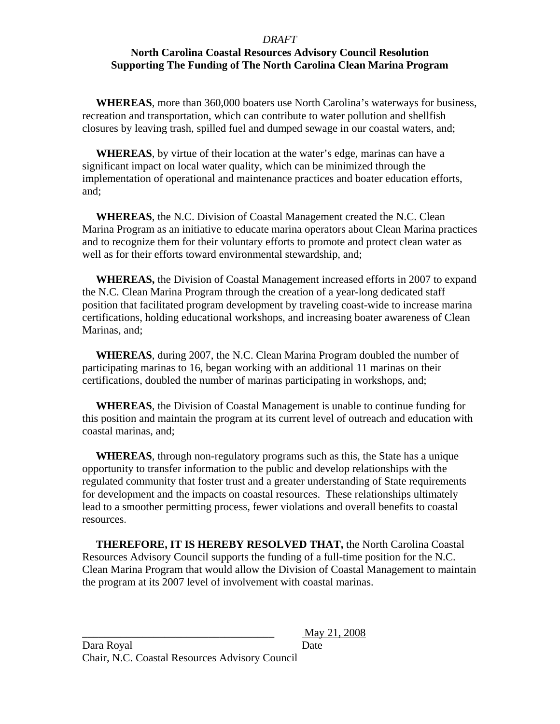### *DRAFT*

# <span id="page-11-0"></span>**North Carolina Coastal Resources Advisory Council Resolution Supporting The Funding of The North Carolina Clean Marina Program**

 **WHEREAS**, more than 360,000 boaters use North Carolina's waterways for business, recreation and transportation, which can contribute to water pollution and shellfish closures by leaving trash, spilled fuel and dumped sewage in our coastal waters, and;

 **WHEREAS**, by virtue of their location at the water's edge, marinas can have a significant impact on local water quality, which can be minimized through the implementation of operational and maintenance practices and boater education efforts, and;

 **WHEREAS**, the N.C. Division of Coastal Management created the N.C. Clean Marina Program as an initiative to educate marina operators about Clean Marina practices and to recognize them for their voluntary efforts to promote and protect clean water as well as for their efforts toward environmental stewardship, and;

 **WHEREAS,** the Division of Coastal Management increased efforts in 2007 to expand the N.C. Clean Marina Program through the creation of a year-long dedicated staff position that facilitated program development by traveling coast-wide to increase marina certifications, holding educational workshops, and increasing boater awareness of Clean Marinas, and;

 **WHEREAS**, during 2007, the N.C. Clean Marina Program doubled the number of participating marinas to 16, began working with an additional 11 marinas on their certifications, doubled the number of marinas participating in workshops, and;

 **WHEREAS**, the Division of Coastal Management is unable to continue funding for this position and maintain the program at its current level of outreach and education with coastal marinas, and;

 **WHEREAS**, through non-regulatory programs such as this, the State has a unique opportunity to transfer information to the public and develop relationships with the regulated community that foster trust and a greater understanding of State requirements for development and the impacts on coastal resources. These relationships ultimately lead to a smoother permitting process, fewer violations and overall benefits to coastal resources.

 **THEREFORE, IT IS HEREBY RESOLVED THAT,** the North Carolina Coastal Resources Advisory Council supports the funding of a full-time position for the N.C. Clean Marina Program that would allow the Division of Coastal Management to maintain the program at its 2007 level of involvement with coastal marinas.

\_\_\_\_\_\_\_\_\_\_\_\_\_\_\_\_\_\_\_\_\_\_\_\_\_\_\_\_\_\_\_\_\_\_\_ May 21, 2008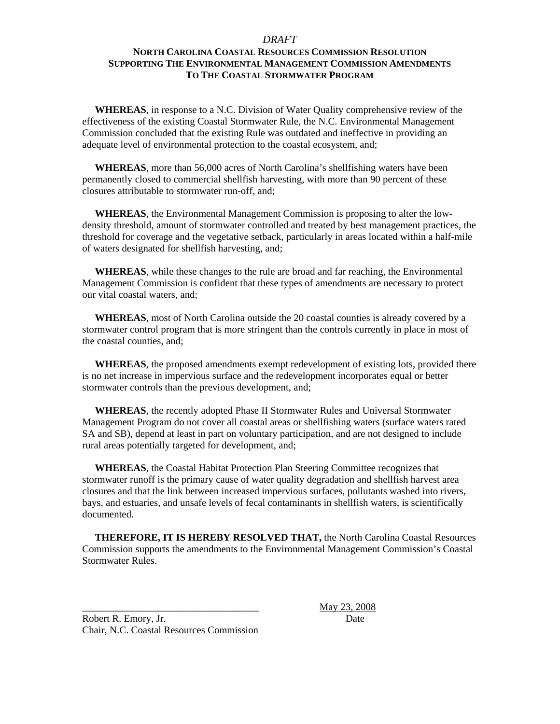### *DRAFT*

## **NORTH CAROLINA COASTAL RESOURCES COMMISSION RESOLUTION SUPPORTING THE ENVIRONMENTAL MANAGEMENT COMMISSION AMENDMENTS TO THE COASTAL STORMWATER PROGRAM**

 **WHEREAS**, in response to a N.C. Division of Water Quality comprehensive review of the effectiveness of the existing Coastal Stormwater Rule, the N.C. Environmental Management Commission concluded that the existing Rule was outdated and ineffective in providing an adequate level of environmental protection to the coastal ecosystem, and;

 **WHEREAS**, more than 56,000 acres of North Carolina's shellfishing waters have been permanently closed to commercial shellfish harvesting, with more than 90 percent of these closures attributable to stormwater run-off, and;

 **WHEREAS**, the Environmental Management Commission is proposing to alter the lowdensity threshold, amount of stormwater controlled and treated by best management practices, the threshold for coverage and the vegetative setback, particularly in areas located within a half-mile of waters designated for shellfish harvesting, and;

 **WHEREAS**, while these changes to the rule are broad and far reaching, the Environmental Management Commission is confident that these types of amendments are necessary to protect our vital coastal waters, and;

 **WHEREAS**, most of North Carolina outside the 20 coastal counties is already covered by a stormwater control program that is more stringent than the controls currently in place in most of the coastal counties, and;

 **WHEREAS**, the proposed amendments exempt redevelopment of existing lots, provided there is no net increase in impervious surface and the redevelopment incorporates equal or better stormwater controls than the previous development, and;

 **WHEREAS**, the recently adopted Phase II Stormwater Rules and Universal Stormwater Management Program do not cover all coastal areas or shellfishing waters (surface waters rated SA and SB), depend at least in part on voluntary participation, and are not designed to include rural areas potentially targeted for development, and;

 **WHEREAS**, the Coastal Habitat Protection Plan Steering Committee recognizes that stormwater runoff is the primary cause of water quality degradation and shellfish harvest area closures and that the link between increased impervious surfaces, pollutants washed into rivers, bays, and estuaries, and unsafe levels of fecal contaminants in shellfish waters, is scientifically documented.

 **THEREFORE, IT IS HEREBY RESOLVED THAT,** the North Carolina Coastal Resources Commission supports the amendments to the Environmental Management Commission's Coastal Stormwater Rules.

Robert R. Emory, Jr. Date Chair, N.C. Coastal Resources Commission

\_\_\_\_\_\_\_\_\_\_\_\_\_\_\_\_\_\_\_\_\_\_\_\_\_\_\_\_\_\_\_\_\_\_\_ May 23, 2008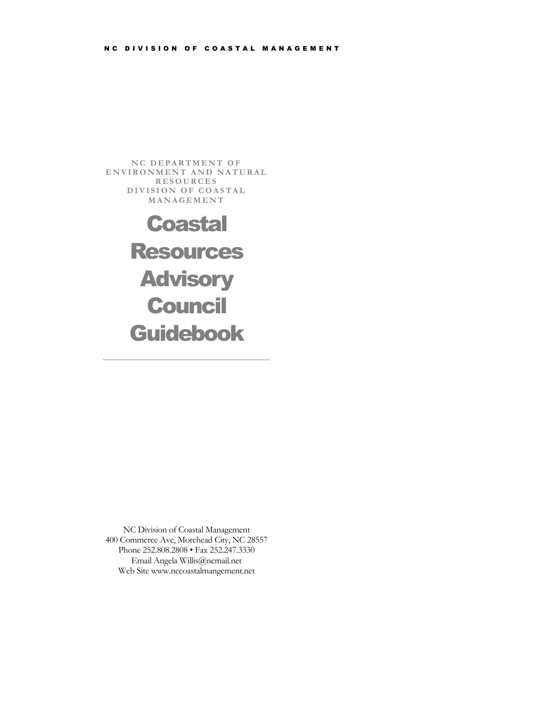<span id="page-13-0"></span>NC DEPARTMENT OF ENVIRONMENT AND NATURAL **RESOURCES** DIVISION OF COASTAL **MANAGEMENT** 

# **Coastal** Resources **Advisory Council** Guidebook

NC Division of Coastal Management 400 Commerce Ave, Morehead City, NC 28557 Phone 252.808.2808 • Fax 252.247.3330 Email Angela Willis@ncmail.net Web Site www.nccoastalmangement.net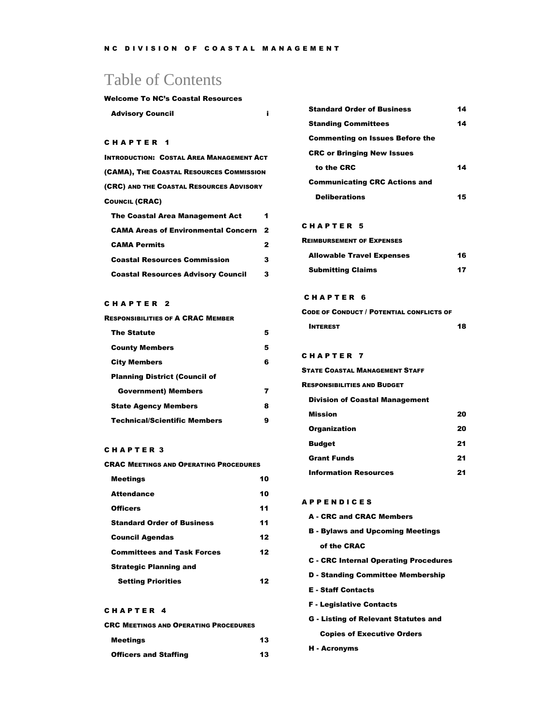# Table of Contents

#### Welcome To NC's Coastal Resources

| <b>Advisory Council</b> |  |
|-------------------------|--|
|                         |  |

### CHAPTER 1

| <b>INTRODUCTION: COSTAL AREA MANAGEMENT ACT</b> |                         |
|-------------------------------------------------|-------------------------|
| (CAMA), THE COASTAL RESOURCES COMMISSION        |                         |
| (CRC) AND THE COASTAL RESOURCES ADVISORY        |                         |
| <b>COUNCIL (CRAC)</b>                           |                         |
| <b>The Coastal Area Management Act</b>          | 1                       |
| <b>CAMA Areas of Environmental Concern</b>      | $\overline{\mathbf{2}}$ |
| <b>CAMA Permits</b>                             | 2                       |
| <b>Coastal Resources Commission</b>             | 3                       |
| <b>Coastal Resources Advisory Council</b>       | 3                       |

### C H A P T E R 2

| <b>RESPONSIBILITIES OF A CRAC MEMBER</b> |   |
|------------------------------------------|---|
| <b>The Statute</b>                       | 5 |
| <b>County Members</b>                    | 5 |
| <b>City Members</b>                      | R |
| <b>Planning District (Council of</b>     |   |
| <b>Government</b> ) Members              |   |
| <b>State Agency Members</b>              | 8 |
| <b>Technical/Scientific Members</b>      |   |

### C H A P T E R 3

| <b>CRAC MEETINGS AND OPERATING PROCEDURES</b> |    |
|-----------------------------------------------|----|
| <b>Meetings</b>                               | 10 |
| <b>Attendance</b>                             | 10 |
| <b>Officers</b>                               | 11 |
| <b>Standard Order of Business</b>             | 11 |
| <b>Council Agendas</b>                        | 12 |
| <b>Committees and Task Forces</b>             | 12 |
| <b>Strategic Planning and</b>                 |    |
| <b>Setting Priorities</b>                     | 7  |

### CHAPTER 4

|  | <b>CRC MEETINGS AND OPERATING PROCEDURES</b> |
|--|----------------------------------------------|
|--|----------------------------------------------|

| <b>Meetings</b>              | 13 |
|------------------------------|----|
| <b>Officers and Staffing</b> | 13 |

| <b>Standard Order of Business</b>      | 14 |
|----------------------------------------|----|
| <b>Standing Committees</b>             | 14 |
| <b>Commenting on Issues Before the</b> |    |
| <b>CRC or Bringing New Issues</b>      |    |
| to the CRC                             | 14 |
| <b>Communicating CRC Actions and</b>   |    |
| <b>Deliberations</b>                   | 5  |

### C H A P T E R 5

| <b>REIMBURSEMENT OF EXPENSES</b> |    |
|----------------------------------|----|
| <b>Allowable Travel Expenses</b> | 16 |

| <b>Submitting Claims</b> |  |
|--------------------------|--|
|                          |  |

#### C H A P T E R 6

| <b>CODE OF CONDUCT / POTENTIAL CONFLICTS OF</b> |    |
|-------------------------------------------------|----|
| <b>INTEREST</b>                                 | 18 |

### CHAPTER 7

| STATE COASTAL MANAGEMENT STAFF        |    |
|---------------------------------------|----|
| <b>RESPONSIBILITIES AND BUDGET</b>    |    |
| <b>Division of Coastal Management</b> |    |
| Mission                               | 20 |
| <b>Organization</b>                   | 20 |
| <b>Budget</b>                         | 21 |
| <b>Grant Funds</b>                    | 21 |
| <b>Information Resources</b>          | 21 |

#### A P P E N D I C E S

|  |  |  |  | <b>A</b> - CRC and CRAC Members |
|--|--|--|--|---------------------------------|
|--|--|--|--|---------------------------------|

- B Bylaws and Upcoming Meetings of the CRAC
- C CRC Internal Operating Procedures
- D Standing Committee Membership
- E Staff Contacts
- F Legislative Contacts
- G Listing of Relevant Statutes and Copies of Executive Orders
- H Acronyms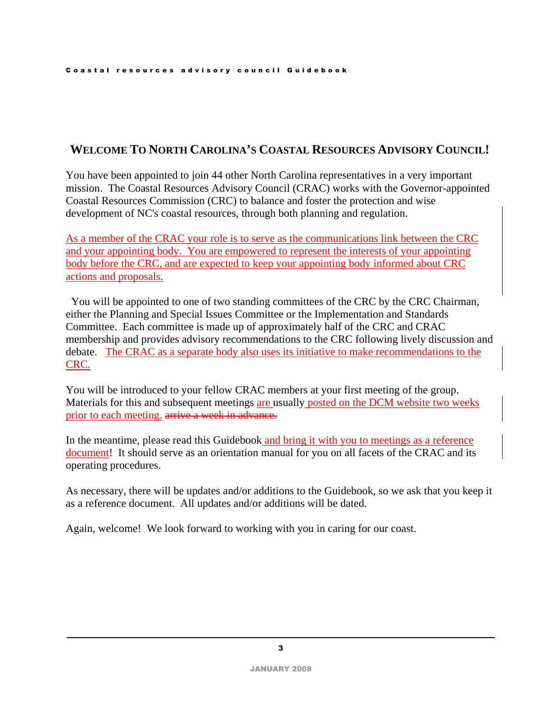# **WELCOME TO NORTH CAROLINA'S COASTAL RESOURCES ADVISORY COUNCIL!**

You have been appointed to join 44 other North Carolina representatives in a very important mission. The Coastal Resources Advisory Council (CRAC) works with the Governor-appointed Coastal Resources Commission (CRC) to balance and foster the protection and wise development of NC's coastal resources, through both planning and regulation.

As a member of the CRAC your role is to serve as the communications link between the CRC and your appointing body. You are empowered to represent the interests of your appointing body before the CRC, and are expected to keep your appointing body informed about CRC actions and proposals.

 You will be appointed to one of two standing committees of the CRC by the CRC Chairman, either the Planning and Special Issues Committee or the Implementation and Standards Committee. Each committee is made up of approximately half of the CRC and CRAC membership and provides advisory recommendations to the CRC following lively discussion and debate. The CRAC as a separate body also uses its initiative to make recommendations to the CRC.

You will be introduced to your fellow CRAC members at your first meeting of the group. Materials for this and subsequent meetings are usually posted on the DCM website two weeks prior to each meeting. arrive a week in advance.

In the meantime, please read this Guidebook and bring it with you to meetings as a reference document! It should serve as an orientation manual for you on all facets of the CRAC and its operating procedures.

As necessary, there will be updates and/or additions to the Guidebook, so we ask that you keep it as a reference document. All updates and/or additions will be dated.

Again, welcome! We look forward to working with you in caring for our coast.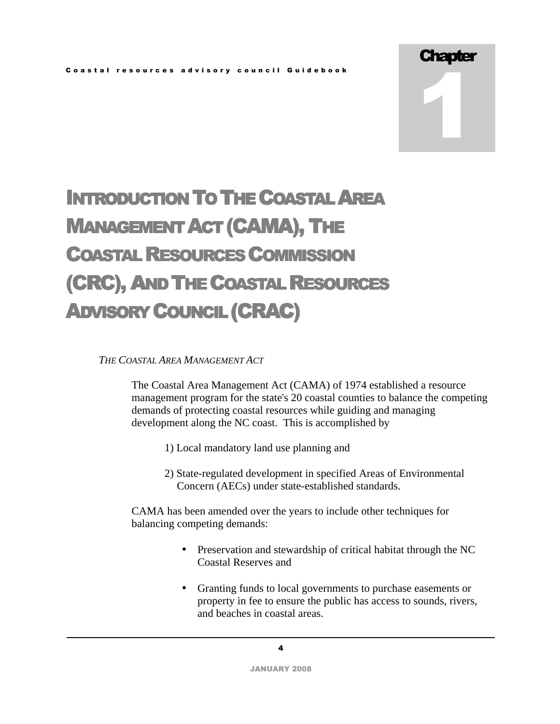1

# INTRODUCTION TO THE COASTAL AREA MANAGEMENT ACT (CAMA), THE COASTAL RESOURCES COMMISSION (CRC), AND THE COASTAL RESOURCES ADVISORY COUNCIL (CRAC)

# *THE COASTAL AREA MANAGEMENT ACT*

The Coastal Area Management Act (CAMA) of 1974 established a resource management program for the state's 20 coastal counties to balance the competing demands of protecting coastal resources while guiding and managing development along the NC coast. This is accomplished by

- 1) Local mandatory land use planning and
- 2) State-regulated development in specified Areas of Environmental Concern (AECs) under state-established standards.

CAMA has been amended over the years to include other techniques for balancing competing demands:

- Preservation and stewardship of critical habitat through the NC Coastal Reserves and
- Granting funds to local governments to purchase easements or property in fee to ensure the public has access to sounds, rivers, and beaches in coastal areas.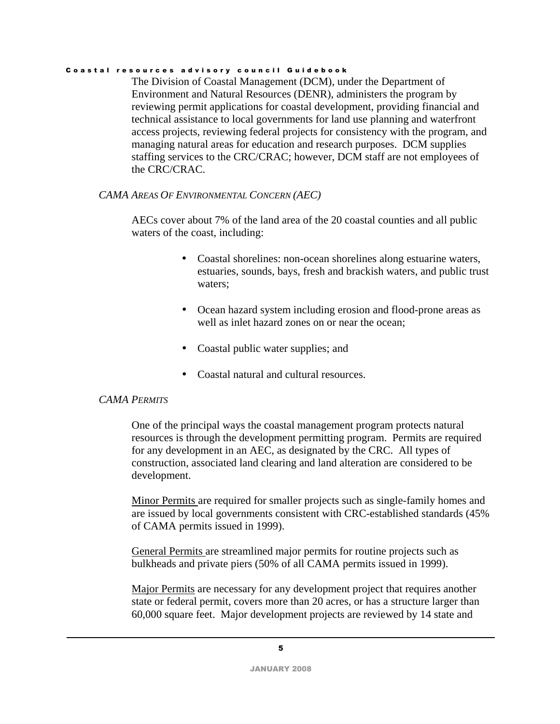The Division of Coastal Management (DCM), under the Department of Environment and Natural Resources (DENR), administers the program by reviewing permit applications for coastal development, providing financial and technical assistance to local governments for land use planning and waterfront access projects, reviewing federal projects for consistency with the program, and managing natural areas for education and research purposes.DCM supplies staffing services to the CRC/CRAC; however, DCM staff are not employees of the CRC/CRAC.

# *CAMA AREAS OF ENVIRONMENTAL CONCERN (AEC)*

AECs cover about 7% of the land area of the 20 coastal counties and all public waters of the coast, including:

- Coastal shorelines: non-ocean shorelines along estuarine waters, estuaries, sounds, bays, fresh and brackish waters, and public trust waters;
- Ocean hazard system including erosion and flood-prone areas as well as inlet hazard zones on or near the ocean;
- Coastal public water supplies; and
- Coastal natural and cultural resources.

# *CAMA PERMITS*

One of the principal ways the coastal management program protects natural resources is through the development permitting program. Permits are required for any development in an AEC, as designated by the CRC. All types of construction, associated land clearing and land alteration are considered to be development.

Minor Permits are required for smaller projects such as single-family homes and are issued by local governments consistent with CRC-established standards (45% of CAMA permits issued in 1999).

General Permits are streamlined major permits for routine projects such as bulkheads and private piers (50% of all CAMA permits issued in 1999).

Major Permits are necessary for any development project that requires another state or federal permit, covers more than 20 acres, or has a structure larger than 60,000 square feet. Major development projects are reviewed by 14 state and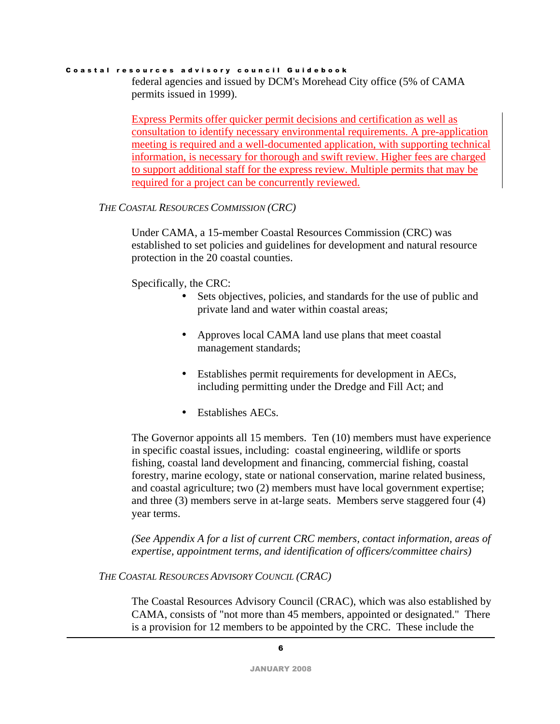federal agencies and issued by DCM's Morehead City office (5% of CAMA permits issued in 1999).

Express Permits offer quicker permit decisions and certification as well as consultation to identify necessary environmental requirements. A pre-application meeting is required and a well-documented application, with supporting technical information, is necessary for thorough and swift review. Higher fees are charged to support additional staff for the express review. Multiple permits that may be required for a project can be concurrently reviewed.

## *THE COASTAL RESOURCES COMMISSION (CRC)*

Under CAMA, a 15-member Coastal Resources Commission (CRC) was established to set policies and guidelines for development and natural resource protection in the 20 coastal counties.

# Specifically, the CRC:

- Sets objectives, policies, and standards for the use of public and private land and water within coastal areas;
- Approves local CAMA land use plans that meet coastal management standards;
- Establishes permit requirements for development in AECs, including permitting under the Dredge and Fill Act; and
- Establishes AECs.

The Governor appoints all 15 members. Ten (10) members must have experience in specific coastal issues, including: coastal engineering, wildlife or sports fishing, coastal land development and financing, commercial fishing, coastal forestry, marine ecology, state or national conservation, marine related business, and coastal agriculture; two (2) members must have local government expertise; and three (3) members serve in at-large seats. Members serve staggered four (4) year terms.

*(See Appendix A for a list of current CRC members, contact information, areas of expertise, appointment terms, and identification of officers/committee chairs)* 

*THE COASTAL RESOURCES ADVISORY COUNCIL (CRAC)* 

The Coastal Resources Advisory Council (CRAC), which was also established by CAMA, consists of "not more than 45 members, appointed or designated." There is a provision for 12 members to be appointed by the CRC. These include the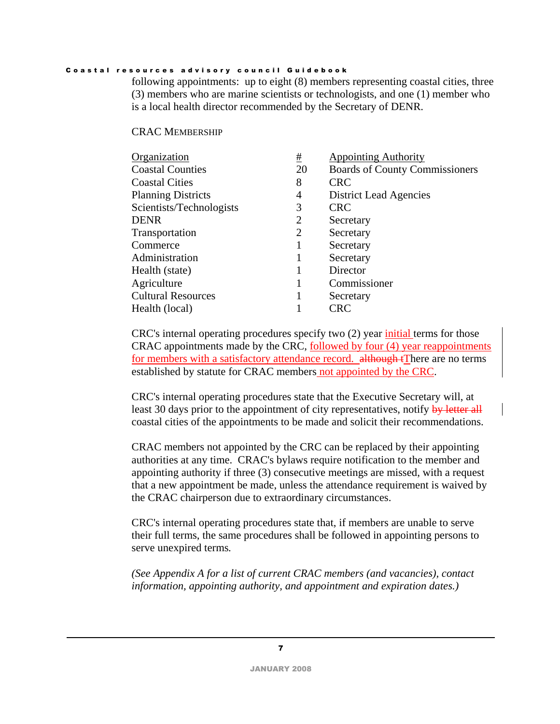following appointments: up to eight (8) members representing coastal cities, three (3) members who are marine scientists or technologists, and one (1) member who is a local health director recommended by the Secretary of DENR.

### CRAC MEMBERSHIP

| Organization              | #              | <b>Appointing Authority</b>           |
|---------------------------|----------------|---------------------------------------|
| <b>Coastal Counties</b>   | 20             | <b>Boards of County Commissioners</b> |
| <b>Coastal Cities</b>     | 8              | <b>CRC</b>                            |
| <b>Planning Districts</b> | $\overline{4}$ | District Lead Agencies                |
| Scientists/Technologists  | 3              | <b>CRC</b>                            |
| <b>DENR</b>               | $\overline{2}$ | Secretary                             |
| Transportation            | 2              | Secretary                             |
| Commerce                  |                | Secretary                             |
| Administration            |                | Secretary                             |
| Health (state)            |                | Director                              |
| Agriculture               |                | Commissioner                          |
| <b>Cultural Resources</b> |                | Secretary                             |
| Health (local)            |                | <b>CRC</b>                            |
|                           |                |                                       |

CRC's internal operating procedures specify two (2) year initial terms for those CRAC appointments made by the CRC, followed by four (4) year reappointments for members with a satisfactory attendance record. although tThere are no terms established by statute for CRAC members not appointed by the CRC.

CRC's internal operating procedures state that the Executive Secretary will, at least 30 days prior to the appointment of city representatives, notify by letter all coastal cities of the appointments to be made and solicit their recommendations.

CRAC members not appointed by the CRC can be replaced by their appointing authorities at any time. CRAC's bylaws require notification to the member and appointing authority if three (3) consecutive meetings are missed, with a request that a new appointment be made, unless the attendance requirement is waived by the CRAC chairperson due to extraordinary circumstances.

CRC's internal operating procedures state that, if members are unable to serve their full terms, the same procedures shall be followed in appointing persons to serve unexpired terms*.* 

*(See Appendix A for a list of current CRAC members (and vacancies), contact information, appointing authority, and appointment and expiration dates.)*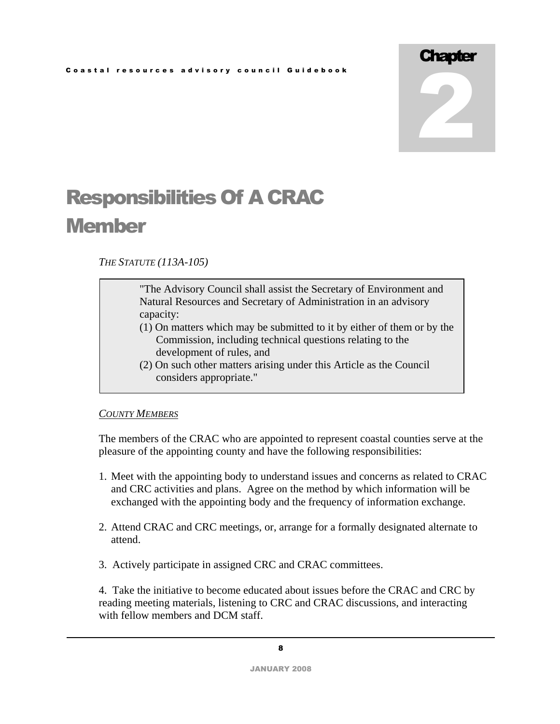# **Chapter** 2

# Responsibilities Of A CRAC **Member**

*THE STATUTE (113A-105)* 

"The Advisory Council shall assist the Secretary of Environment and Natural Resources and Secretary of Administration in an advisory capacity:

- (1) On matters which may be submitted to it by either of them or by the Commission, including technical questions relating to the development of rules, and
- (2) On such other matters arising under this Article as the Council considers appropriate."

# *COUNTY MEMBERS*

The members of the CRAC who are appointed to represent coastal counties serve at the pleasure of the appointing county and have the following responsibilities:

- 1. Meet with the appointing body to understand issues and concerns as related to CRAC and CRC activities and plans. Agree on the method by which information will be exchanged with the appointing body and the frequency of information exchange.
- 2. Attend CRAC and CRC meetings, or, arrange for a formally designated alternate to attend.
- 3. Actively participate in assigned CRC and CRAC committees.

4. Take the initiative to become educated about issues before the CRAC and CRC by reading meeting materials, listening to CRC and CRAC discussions, and interacting with fellow members and DCM staff.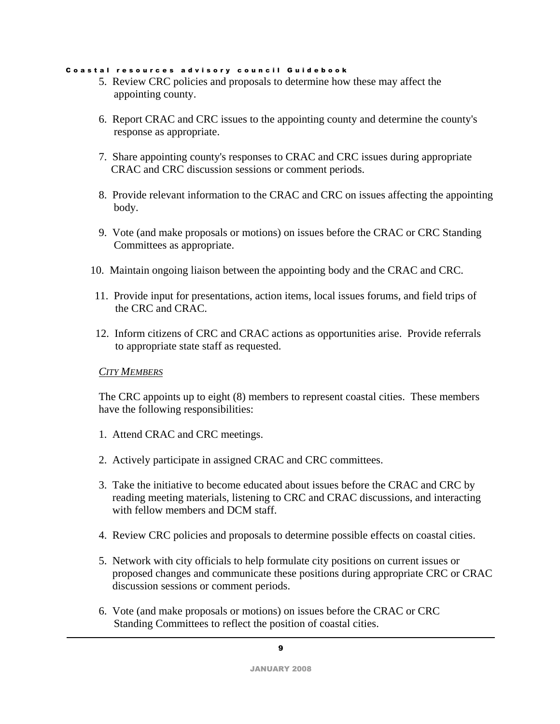- 5. Review CRC policies and proposals to determine how these may affect the appointing county.
- 6. Report CRAC and CRC issues to the appointing county and determine the county's response as appropriate.
- 7. Share appointing county's responses to CRAC and CRC issues during appropriate CRAC and CRC discussion sessions or comment periods.
- 8. Provide relevant information to the CRAC and CRC on issues affecting the appointing body.
- 9. Vote (and make proposals or motions) on issues before the CRAC or CRC Standing Committees as appropriate.
- 10. Maintain ongoing liaison between the appointing body and the CRAC and CRC.
- 11. Provide input for presentations, action items, local issues forums, and field trips of the CRC and CRAC.
- 12. Inform citizens of CRC and CRAC actions as opportunities arise. Provide referrals to appropriate state staff as requested.

# *CITY MEMBERS*

The CRC appoints up to eight (8) members to represent coastal cities. These members have the following responsibilities:

- 1. Attend CRAC and CRC meetings.
- 2. Actively participate in assigned CRAC and CRC committees.
- 3. Take the initiative to become educated about issues before the CRAC and CRC by reading meeting materials, listening to CRC and CRAC discussions, and interacting with fellow members and DCM staff.
- 4. Review CRC policies and proposals to determine possible effects on coastal cities.
- 5. Network with city officials to help formulate city positions on current issues or proposed changes and communicate these positions during appropriate CRC or CRAC discussion sessions or comment periods.
- 6. Vote (and make proposals or motions) on issues before the CRAC or CRC Standing Committees to reflect the position of coastal cities.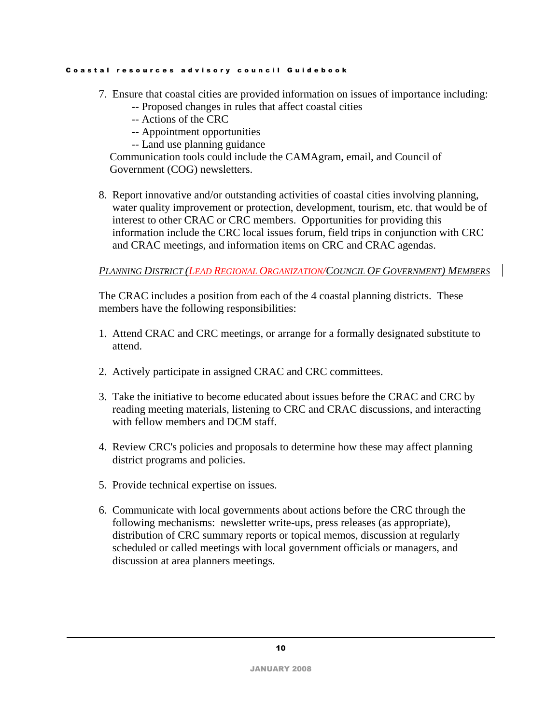- 7. Ensure that coastal cities are provided information on issues of importance including:
	- -- Proposed changes in rules that affect coastal cities
	- -- Actions of the CRC
	- -- Appointment opportunities
	- -- Land use planning guidance

 Communication tools could include the CAMAgram, email, and Council of Government (COG) newsletters.

8. Report innovative and/or outstanding activities of coastal cities involving planning, water quality improvement or protection, development, tourism, etc. that would be of interest to other CRAC or CRC members. Opportunities for providing this information include the CRC local issues forum, field trips in conjunction with CRC and CRAC meetings, and information items on CRC and CRAC agendas.

*PLANNING DISTRICT (LEAD REGIONAL ORGANIZATION/COUNCIL OF GOVERNMENT) MEMBERS*

The CRAC includes a position from each of the 4 coastal planning districts. These members have the following responsibilities:

- 1. Attend CRAC and CRC meetings, or arrange for a formally designated substitute to attend.
- 2. Actively participate in assigned CRAC and CRC committees.
- 3. Take the initiative to become educated about issues before the CRAC and CRC by reading meeting materials, listening to CRC and CRAC discussions, and interacting with fellow members and DCM staff.
- 4. Review CRC's policies and proposals to determine how these may affect planning district programs and policies.
- 5. Provide technical expertise on issues.
- 6. Communicate with local governments about actions before the CRC through the following mechanisms: newsletter write-ups, press releases (as appropriate), distribution of CRC summary reports or topical memos, discussion at regularly scheduled or called meetings with local government officials or managers, and discussion at area planners meetings.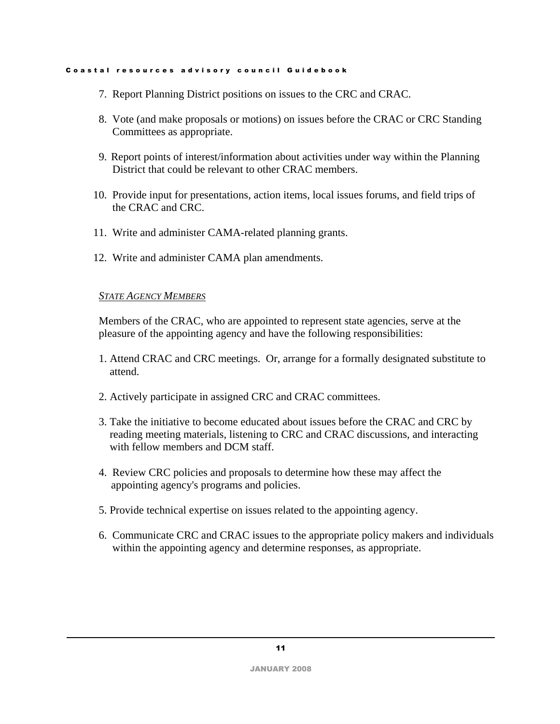- 7. Report Planning District positions on issues to the CRC and CRAC.
- 8. Vote (and make proposals or motions) on issues before the CRAC or CRC Standing Committees as appropriate.
- 9. Report points of interest/information about activities under way within the Planning District that could be relevant to other CRAC members.
- 10. Provide input for presentations, action items, local issues forums, and field trips of the CRAC and CRC.
- 11. Write and administer CAMA-related planning grants.
- 12. Write and administer CAMA plan amendments.

## *STATE AGENCY MEMBERS*

Members of the CRAC, who are appointed to represent state agencies, serve at the pleasure of the appointing agency and have the following responsibilities:

- 1. Attend CRAC and CRC meetings. Or, arrange for a formally designated substitute to attend.
- 2. Actively participate in assigned CRC and CRAC committees.
- 3. Take the initiative to become educated about issues before the CRAC and CRC by reading meeting materials, listening to CRC and CRAC discussions, and interacting with fellow members and DCM staff.
- 4. Review CRC policies and proposals to determine how these may affect the appointing agency's programs and policies.
- 5. Provide technical expertise on issues related to the appointing agency.
- 6. Communicate CRC and CRAC issues to the appropriate policy makers and individuals within the appointing agency and determine responses, as appropriate.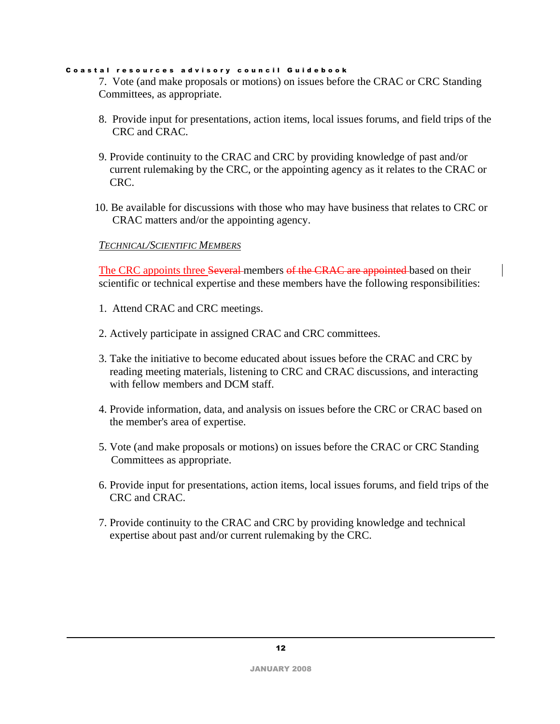7. Vote (and make proposals or motions) on issues before the CRAC or CRC Standing Committees, as appropriate.

- 8. Provide input for presentations, action items, local issues forums, and field trips of the CRC and CRAC.
- 9. Provide continuity to the CRAC and CRC by providing knowledge of past and/or current rulemaking by the CRC, or the appointing agency as it relates to the CRAC or CRC.
- 10. Be available for discussions with those who may have business that relates to CRC or CRAC matters and/or the appointing agency.

# *TECHNICAL/SCIENTIFIC MEMBERS*

The CRC appoints three Several members of the CRAC are appointed based on their scientific or technical expertise and these members have the following responsibilities:

- 1. Attend CRAC and CRC meetings.
- 2. Actively participate in assigned CRAC and CRC committees.
- 3. Take the initiative to become educated about issues before the CRAC and CRC by reading meeting materials, listening to CRC and CRAC discussions, and interacting with fellow members and DCM staff.
- 4. Provide information, data, and analysis on issues before the CRC or CRAC based on the member's area of expertise.
- 5. Vote (and make proposals or motions) on issues before the CRAC or CRC Standing Committees as appropriate.
- 6. Provide input for presentations, action items, local issues forums, and field trips of the CRC and CRAC.
- 7. Provide continuity to the CRAC and CRC by providing knowledge and technical expertise about past and/or current rulemaking by the CRC.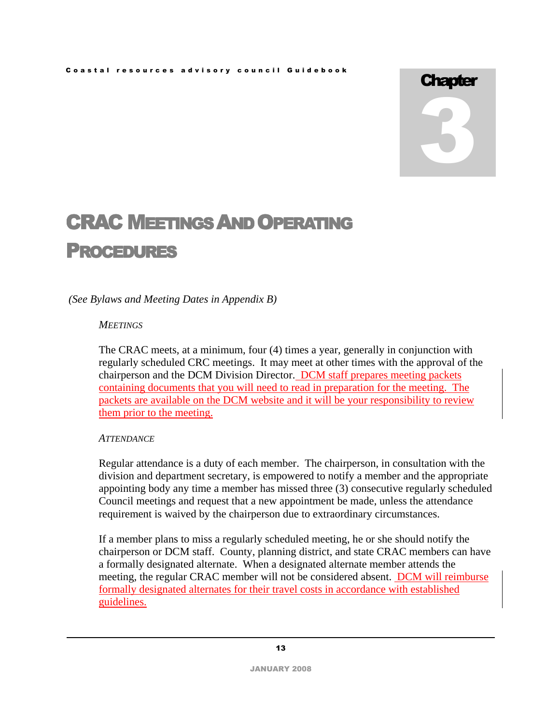# **Chapter** 3

# CRAC MEETINGS AND OPERATING PROCEDURES

*(See Bylaws and Meeting Dates in Appendix B)* 

# *MEETINGS*

The CRAC meets, at a minimum, four (4) times a year, generally in conjunction with regularly scheduled CRC meetings. It may meet at other times with the approval of the chairperson and the DCM Division Director. DCM staff prepares meeting packets containing documents that you will need to read in preparation for the meeting. The packets are available on the DCM website and it will be your responsibility to review them prior to the meeting.

# *ATTENDANCE*

Regular attendance is a duty of each member. The chairperson, in consultation with the division and department secretary, is empowered to notify a member and the appropriate appointing body any time a member has missed three (3) consecutive regularly scheduled Council meetings and request that a new appointment be made, unless the attendance requirement is waived by the chairperson due to extraordinary circumstances.

If a member plans to miss a regularly scheduled meeting, he or she should notify the chairperson or DCM staff. County, planning district, and state CRAC members can have a formally designated alternate. When a designated alternate member attends the meeting, the regular CRAC member will not be considered absent. DCM will reimburse formally designated alternates for their travel costs in accordance with established guidelines.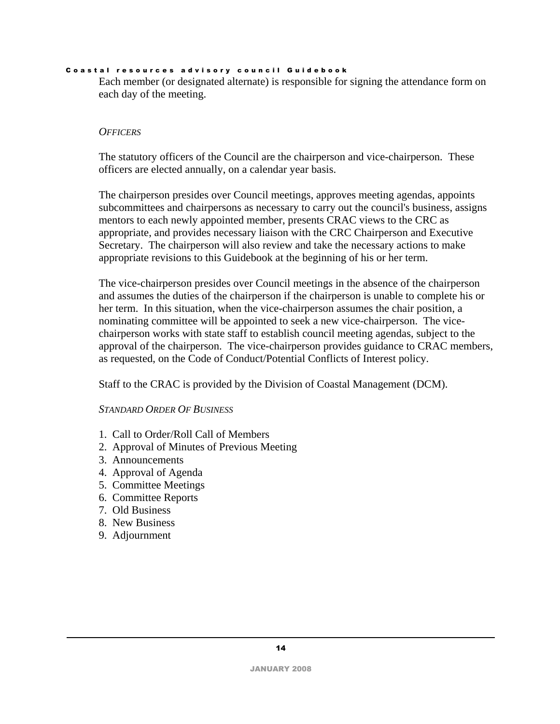Each member (or designated alternate) is responsible for signing the attendance form on each day of the meeting.

### *OFFICERS*

The statutory officers of the Council are the chairperson and vice-chairperson. These officers are elected annually, on a calendar year basis.

The chairperson presides over Council meetings, approves meeting agendas, appoints subcommittees and chairpersons as necessary to carry out the council's business, assigns mentors to each newly appointed member, presents CRAC views to the CRC as appropriate, and provides necessary liaison with the CRC Chairperson and Executive Secretary. The chairperson will also review and take the necessary actions to make appropriate revisions to this Guidebook at the beginning of his or her term.

The vice-chairperson presides over Council meetings in the absence of the chairperson and assumes the duties of the chairperson if the chairperson is unable to complete his or her term. In this situation, when the vice-chairperson assumes the chair position, a nominating committee will be appointed to seek a new vice-chairperson. The vicechairperson works with state staff to establish council meeting agendas, subject to the approval of the chairperson. The vice-chairperson provides guidance to CRAC members, as requested, on the Code of Conduct/Potential Conflicts of Interest policy.

Staff to the CRAC is provided by the Division of Coastal Management (DCM).

*STANDARD ORDER OF BUSINESS*

- 1. Call to Order/Roll Call of Members
- 2. Approval of Minutes of Previous Meeting
- 3. Announcements
- 4. Approval of Agenda
- 5. Committee Meetings
- 6. Committee Reports
- 7. Old Business
- 8. New Business
- 9. Adjournment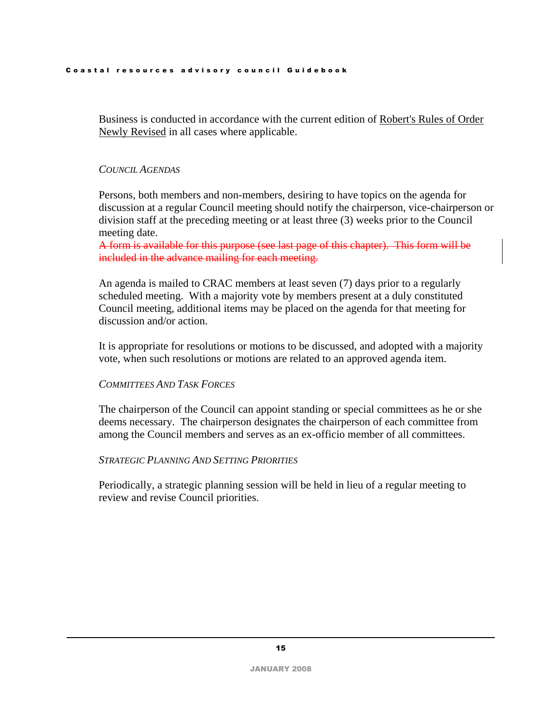Business is conducted in accordance with the current edition of Robert's Rules of Order Newly Revised in all cases where applicable.

### *COUNCIL AGENDAS*

Persons, both members and non-members, desiring to have topics on the agenda for discussion at a regular Council meeting should notify the chairperson, vice-chairperson or division staff at the preceding meeting or at least three (3) weeks prior to the Council meeting date.

A form is available for this purpose (see last page of this chapter). This form will be included in the advance mailing for each meeting.

An agenda is mailed to CRAC members at least seven (7) days prior to a regularly scheduled meeting. With a majority vote by members present at a duly constituted Council meeting, additional items may be placed on the agenda for that meeting for discussion and/or action.

It is appropriate for resolutions or motions to be discussed, and adopted with a majority vote, when such resolutions or motions are related to an approved agenda item.

### *COMMITTEES AND TASK FORCES*

The chairperson of the Council can appoint standing or special committees as he or she deems necessary. The chairperson designates the chairperson of each committee from among the Council members and serves as an ex-officio member of all committees.

### *STRATEGIC PLANNING AND SETTING PRIORITIES*

Periodically, a strategic planning session will be held in lieu of a regular meeting to review and revise Council priorities.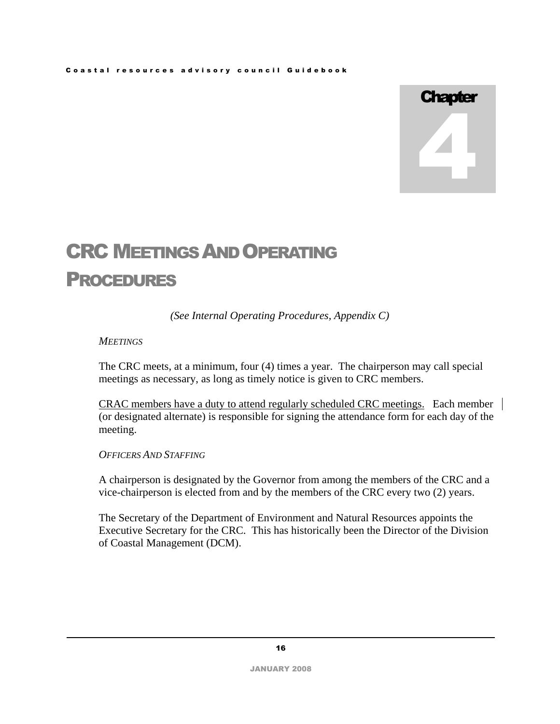# **Chapter** 4

# CRC MEETINGS AND OPERATING PROCEDURES

*(See Internal Operating Procedures, Appendix C)* 

# *MEETINGS*

The CRC meets, at a minimum, four (4) times a year. The chairperson may call special meetings as necessary, as long as timely notice is given to CRC members.

CRAC members have a duty to attend regularly scheduled CRC meetings. Each member (or designated alternate) is responsible for signing the attendance form for each day of the meeting.

*OFFICERS AND STAFFING*

A chairperson is designated by the Governor from among the members of the CRC and a vice-chairperson is elected from and by the members of the CRC every two (2) years.

The Secretary of the Department of Environment and Natural Resources appoints the Executive Secretary for the CRC. This has historically been the Director of the Division of Coastal Management (DCM).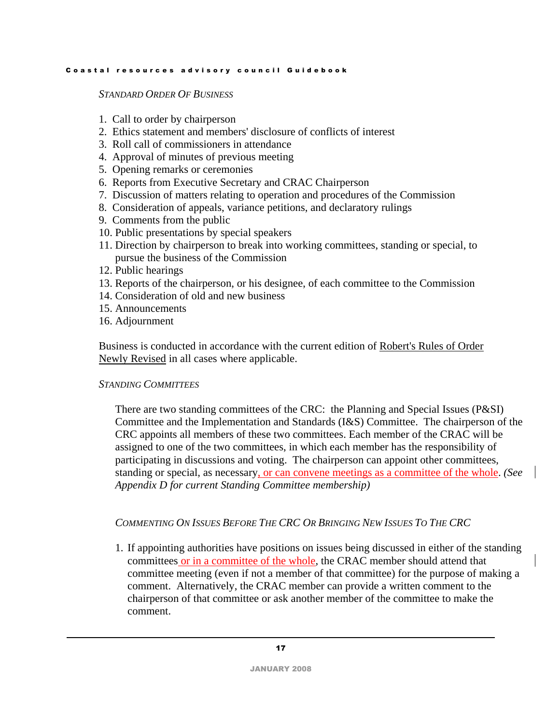*STANDARD ORDER OF BUSINESS*

- 1. Call to order by chairperson
- 2. Ethics statement and members' disclosure of conflicts of interest
- 3. Roll call of commissioners in attendance
- 4. Approval of minutes of previous meeting
- 5. Opening remarks or ceremonies
- 6. Reports from Executive Secretary and CRAC Chairperson
- 7. Discussion of matters relating to operation and procedures of the Commission
- 8. Consideration of appeals, variance petitions, and declaratory rulings
- 9. Comments from the public
- 10. Public presentations by special speakers
- 11. Direction by chairperson to break into working committees, standing or special, to pursue the business of the Commission
- 12. Public hearings
- 13. Reports of the chairperson, or his designee, of each committee to the Commission
- 14. Consideration of old and new business
- 15. Announcements
- 16. Adjournment

Business is conducted in accordance with the current edition of Robert's Rules of Order Newly Revised in all cases where applicable.

# *STANDING COMMITTEES*

There are two standing committees of the CRC: the Planning and Special Issues (P&SI) Committee and the Implementation and Standards (I&S) Committee. The chairperson of the CRC appoints all members of these two committees. Each member of the CRAC will be assigned to one of the two committees, in which each member has the responsibility of participating in discussions and voting. The chairperson can appoint other committees, standing or special, as necessary, or can convene meetings as a committee of the whole. *(See Appendix D for current Standing Committee membership)* 

# COMMENTING ON ISSUES BEFORE THE CRC OR BRINGING NEW ISSUES TO THE CRC

1. If appointing authorities have positions on issues being discussed in either of the standing committees or in a committee of the whole, the CRAC member should attend that committee meeting (even if not a member of that committee) for the purpose of making a comment. Alternatively, the CRAC member can provide a written comment to the chairperson of that committee or ask another member of the committee to make the comment.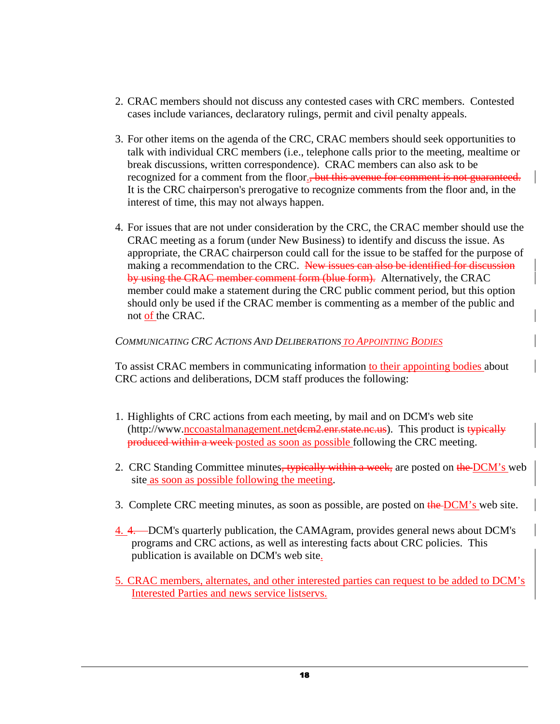- 2. CRAC members should not discuss any contested cases with CRC members. Contested cases include variances, declaratory rulings, permit and civil penalty appeals.
- 3. For other items on the agenda of the CRC, CRAC members should seek opportunities to talk with individual CRC members (i.e., telephone calls prior to the meeting, mealtime or break discussions, written correspondence). CRAC members can also ask to be recognized for a comment from the floor.<del>, but this avenue for comment is not guaranteed.</del> It is the CRC chairperson's prerogative to recognize comments from the floor and, in the interest of time, this may not always happen.
- 4. For issues that are not under consideration by the CRC, the CRAC member should use the CRAC meeting as a forum (under New Business) to identify and discuss the issue. As appropriate, the CRAC chairperson could call for the issue to be staffed for the purpose of making a recommendation to the CRC. New issues can also be identified for discussion by using the CRAC member comment form (blue form). Alternatively, the CRAC member could make a statement during the CRC public comment period, but this option should only be used if the CRAC member is commenting as a member of the public and not of the CRAC.

# *COMMUNICATING CRC ACTIONS AND DELIBERATIONS TO APPOINTING BODIES*

To assist CRAC members in communicating information to their appointing bodies about CRC actions and deliberations, DCM staff produces the following:

- 1. Highlights of CRC actions from each meeting, by mail and on DCM's web site  $(\text{http://www.nccoastalmanagement.netdem2.enr.state.ne.us}).$  This product is typically produced within a week posted as soon as possible following the CRC meeting.
- 2. CRC Standing Committee minutes, typically within a week, are posted on the DCM's web site as soon as possible following the meeting.
- 3. Complete CRC meeting minutes, as soon as possible, are posted on the DCM's web site.
- 4. 4. DCM's quarterly publication, the CAMAgram, provides general news about DCM's programs and CRC actions, as well as interesting facts about CRC policies. This publication is available on DCM's web site.
- 5. CRAC members, alternates, and other interested parties can request to be added to DCM's Interested Parties and news service listservs.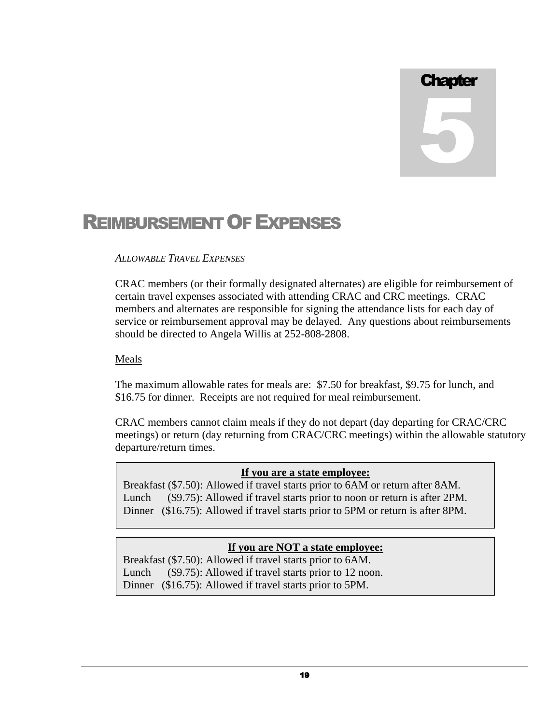# **Chapter** 5

# REIMBURSEMENT OF EXPENSES

# *ALLOWABLE TRAVEL EXPENSES*

CRAC members (or their formally designated alternates) are eligible for reimbursement of certain travel expenses associated with attending CRAC and CRC meetings. CRAC members and alternates are responsible for signing the attendance lists for each day of service or reimbursement approval may be delayed. Any questions about reimbursements should be directed to Angela Willis at 252-808-2808.

# Meals

The maximum allowable rates for meals are: \$7.50 for breakfast, \$9.75 for lunch, and \$16.75 for dinner. Receipts are not required for meal reimbursement.

CRAC members cannot claim meals if they do not depart (day departing for CRAC/CRC meetings) or return (day returning from CRAC/CRC meetings) within the allowable statutory departure/return times.

# **If you are a state employee:**

Breakfast (\$7.50): Allowed if travel starts prior to 6AM or return after 8AM. Lunch (\$9.75): Allowed if travel starts prior to noon or return is after 2PM. Dinner (\$16.75): Allowed if travel starts prior to 5PM or return is after 8PM.

# **If you are NOT a state employee:**

Breakfast (\$7.50): Allowed if travel starts prior to 6AM. Lunch (\$9.75): Allowed if travel starts prior to 12 noon. Dinner (\$16.75): Allowed if travel starts prior to 5PM.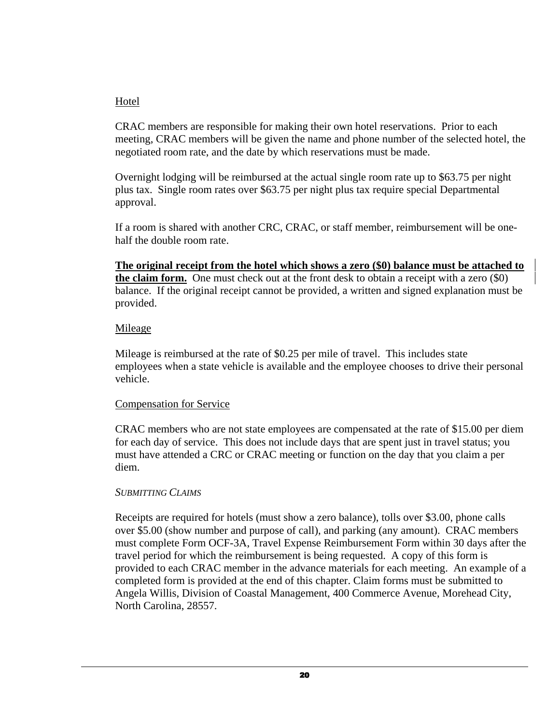# Hotel

CRAC members are responsible for making their own hotel reservations. Prior to each meeting, CRAC members will be given the name and phone number of the selected hotel, the negotiated room rate, and the date by which reservations must be made.

Overnight lodging will be reimbursed at the actual single room rate up to \$63.75 per night plus tax. Single room rates over \$63.75 per night plus tax require special Departmental approval.

If a room is shared with another CRC, CRAC, or staff member, reimbursement will be onehalf the double room rate.

**The original receipt from the hotel which shows a zero (\$0) balance must be attached to the claim form.** One must check out at the front desk to obtain a receipt with a zero (\$0) balance. If the original receipt cannot be provided, a written and signed explanation must be provided.

# Mileage

Mileage is reimbursed at the rate of \$0.25 per mile of travel. This includes state employees when a state vehicle is available and the employee chooses to drive their personal vehicle.

# Compensation for Service

CRAC members who are not state employees are compensated at the rate of \$15.00 per diem for each day of service. This does not include days that are spent just in travel status; you must have attended a CRC or CRAC meeting or function on the day that you claim a per diem.

# *SUBMITTING CLAIMS*

Receipts are required for hotels (must show a zero balance), tolls over \$3.00, phone calls over \$5.00 (show number and purpose of call), and parking (any amount). CRAC members must complete Form OCF-3A, Travel Expense Reimbursement Form within 30 days after the travel period for which the reimbursement is being requested. A copy of this form is provided to each CRAC member in the advance materials for each meeting. An example of a completed form is provided at the end of this chapter. Claim forms must be submitted to Angela Willis, Division of Coastal Management, 400 Commerce Avenue, Morehead City, North Carolina, 28557.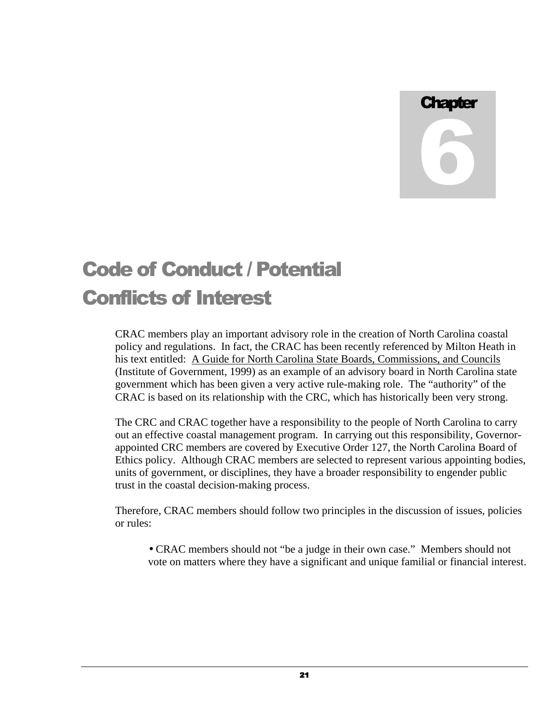**Chapter** 6

# Code of Conduct / Potential Conflicts of Interest

CRAC members play an important advisory role in the creation of North Carolina coastal policy and regulations. In fact, the CRAC has been recently referenced by Milton Heath in his text entitled: A Guide for North Carolina State Boards, Commissions, and Councils (Institute of Government, 1999) as an example of an advisory board in North Carolina state government which has been given a very active rule-making role. The "authority" of the CRAC is based on its relationship with the CRC, which has historically been very strong.

The CRC and CRAC together have a responsibility to the people of North Carolina to carry out an effective coastal management program. In carrying out this responsibility, Governorappointed CRC members are covered by Executive Order 127, the North Carolina Board of Ethics policy. Although CRAC members are selected to represent various appointing bodies, units of government, or disciplines, they have a broader responsibility to engender public trust in the coastal decision-making process.

Therefore, CRAC members should follow two principles in the discussion of issues, policies or rules:

• CRAC members should not "be a judge in their own case." Members should not vote on matters where they have a significant and unique familial or financial interest.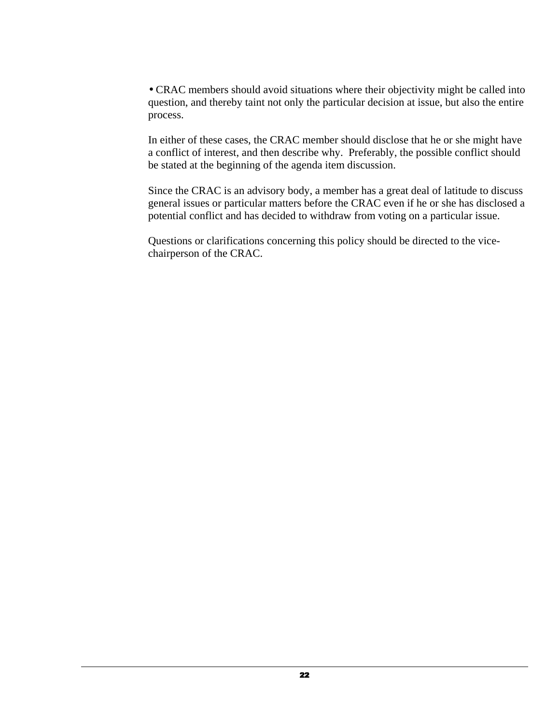• CRAC members should avoid situations where their objectivity might be called into question, and thereby taint not only the particular decision at issue, but also the entire process.

In either of these cases, the CRAC member should disclose that he or she might have a conflict of interest, and then describe why. Preferably, the possible conflict should be stated at the beginning of the agenda item discussion.

Since the CRAC is an advisory body, a member has a great deal of latitude to discuss general issues or particular matters before the CRAC even if he or she has disclosed a potential conflict and has decided to withdraw from voting on a particular issue.

Questions or clarifications concerning this policy should be directed to the vicechairperson of the CRAC.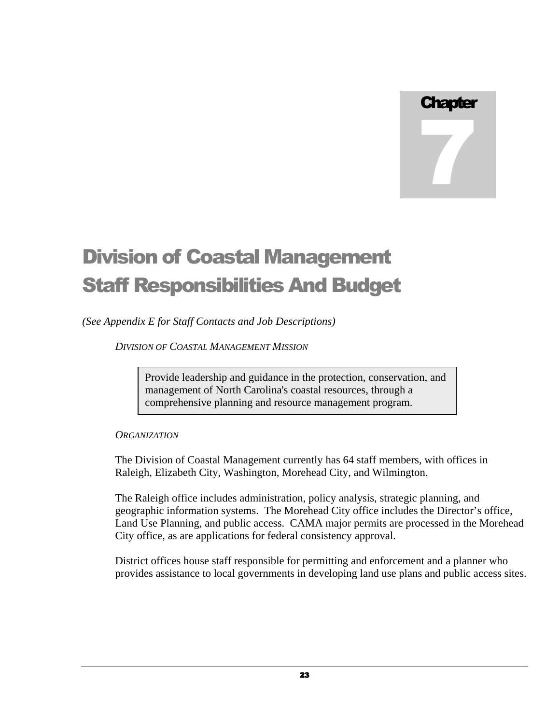# **Chapter**

7

# Division of Coastal Management Staff Responsibilities And Budget

*(See Appendix E for Staff Contacts and Job Descriptions)* 

*DIVISION OF COASTAL MANAGEMENT MISSION*

Provide leadership and guidance in the protection, conservation, and management of North Carolina's coastal resources, through a comprehensive planning and resource management program.

# *ORGANIZATION*

The Division of Coastal Management currently has 64 staff members, with offices in Raleigh, Elizabeth City, Washington, Morehead City, and Wilmington.

The Raleigh office includes administration, policy analysis, strategic planning, and geographic information systems. The Morehead City office includes the Director's office, Land Use Planning, and public access. CAMA major permits are processed in the Morehead City office, as are applications for federal consistency approval.

District offices house staff responsible for permitting and enforcement and a planner who provides assistance to local governments in developing land use plans and public access sites.